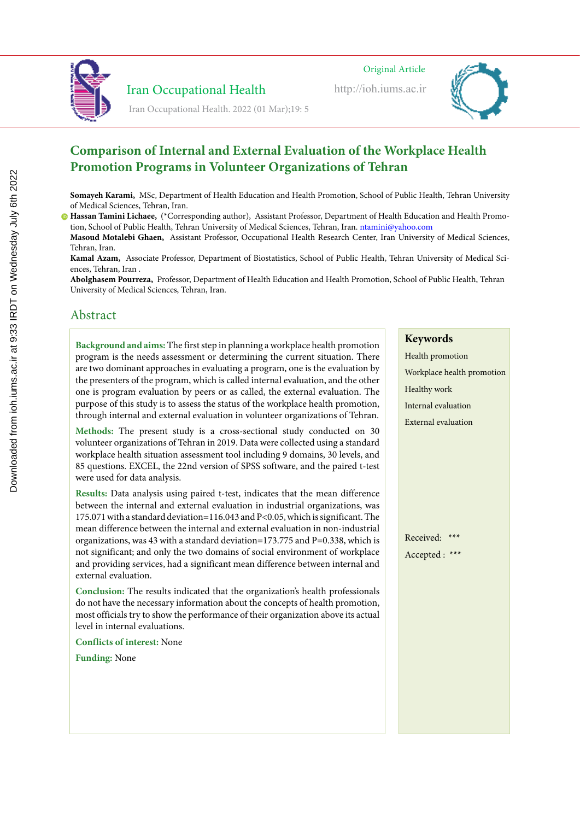

# Iran Occupational Health

Iran Occupational Health. 2022 (01 Mar);19: 5

Original Article

http://ioh.iums.ac.ir



# **Comparison of Internal and External Evaluation of the Workplace Health Promotion Programs in Volunteer Organizations of Tehran**

**Somayeh Karami,** MSc, Department of Health Education and Health Promotion, School of Public Health, Tehran University of Medical Sciences, Tehran, Iran.

**Hassan Tamini Lichaee,** (\*Corresponding author), Assistant Professor, Department of Health Education and Health Promotion, School of Public Health, Tehran University of Medical Sciences, Tehran, Iran. ntamini@yahoo.com

**Masoud Motalebi Ghaen,** Assistant Professor, Occupational Health Research Center, Iran University of Medical Sciences, Tehran, Iran.

**Kamal Azam,** Associate Professor, Department of Biostatistics, School of Public Health, Tehran University of Medical Sciences, Tehran, Iran .

**Abolghasem Pourreza,** Professor, Department of Health Education and Health Promotion, School of Public Health, Tehran University of Medical Sciences, Tehran, Iran.

# Abstract

**Background and aims:** The first step in planning a workplace health promotion program is the needs assessment or determining the current situation. There are two dominant approaches in evaluating a program, one is the evaluation by the presenters of the program, which is called internal evaluation, and the other one is program evaluation by peers or as called, the external evaluation. The purpose of this study is to assess the status of the workplace health promotion, through internal and external evaluation in volunteer organizations of Tehran.

**Methods:** The present study is a cross-sectional study conducted on 30 volunteer organizations of Tehran in 2019. Data were collected using a standard workplace health situation assessment tool including 9 domains, 30 levels, and 85 questions. EXCEL, the 22nd version of SPSS software, and the paired t-test were used for data analysis.

**Results:** Data analysis using paired t-test, indicates that the mean difference between the internal and external evaluation in industrial organizations, was 175.071 with a standard deviation=116.043 and P<0.05, which is significant. The mean difference between the internal and external evaluation in non-industrial organizations, was 43 with a standard deviation=173.775 and  $P=0.338$ , which is not significant; and only the two domains of social environment of workplace and providing services, had a significant mean difference between internal and external evaluation.

**Conclusion:** The results indicated that the organization's health professionals do not have the necessary information about the concepts of health promotion, most officials try to show the performance of their organization above its actual level in internal evaluations.

**Conflicts of interest:** None

**Funding:** None

# **Keywords**

Health promotion Workplace health promotion Healthy work Internal evaluation External evaluation

Received: \*\*\* Accepted : \*\*\*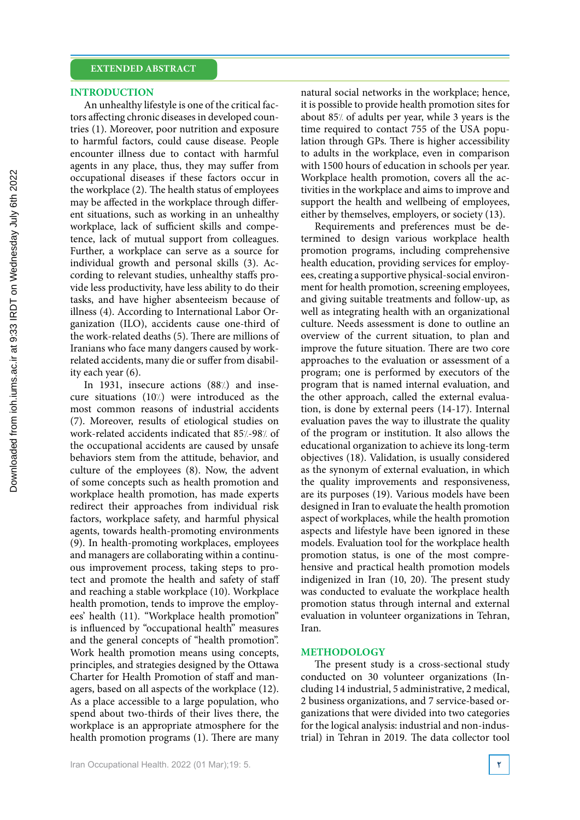#### **INTRODUCTION**

An unhealthy lifestyle is one of the critical factors affecting chronic diseases in developed countries (1). Moreover, poor nutrition and exposure to harmful factors, could cause disease. People encounter illness due to contact with harmful agents in any place, thus, they may suffer from occupational diseases if these factors occur in the workplace (2). The health status of employees may be affected in the workplace through different situations, such as working in an unhealthy workplace, lack of sufficient skills and competence, lack of mutual support from colleagues. Further, a workplace can serve as a source for individual growth and personal skills (3). According to relevant studies, unhealthy staffs provide less productivity, have less ability to do their tasks, and have higher absenteeism because of illness (4). According to International Labor Organization (ILO), accidents cause one-third of the work-related deaths (5). There are millions of Iranians who face many dangers caused by workrelated accidents, many die or suffer from disability each year (6).

In 1931, insecure actions (88%) and insecure situations (10%) were introduced as the most common reasons of industrial accidents (7). Moreover, results of etiological studies on work-related accidents indicated that 85%-98% of the occupational accidents are caused by unsafe behaviors stem from the attitude, behavior, and culture of the employees (8). Now, the advent of some concepts such as health promotion and workplace health promotion, has made experts redirect their approaches from individual risk factors, workplace safety, and harmful physical agents, towards health-promoting environments (9). In health-promoting workplaces, employees and managers are collaborating within a continuous improvement process, taking steps to protect and promote the health and safety of staff and reaching a stable workplace (10). Workplace health promotion, tends to improve the employees' health (11). "Workplace health promotion" is influenced by "occupational health" measures and the general concepts of "health promotion". Work health promotion means using concepts, principles, and strategies designed by the Ottawa Charter for Health Promotion of staff and managers, based on all aspects of the workplace (12). As a place accessible to a large population, who spend about two-thirds of their lives there, the workplace is an appropriate atmosphere for the health promotion programs (1). There are many natural social networks in the workplace; hence, it is possible to provide health promotion sites for about 85% of adults per year, while 3 years is the time required to contact 755 of the USA population through GPs. There is higher accessibility to adults in the workplace, even in comparison with 1500 hours of education in schools per year. Workplace health promotion, covers all the activities in the workplace and aims to improve and support the health and wellbeing of employees, either by themselves, employers, or society (13).

Requirements and preferences must be determined to design various workplace health promotion programs, including comprehensive health education, providing services for employees, creating a supportive physical-social environment for health promotion, screening employees, and giving suitable treatments and follow-up, as well as integrating health with an organizational culture. Needs assessment is done to outline an overview of the current situation, to plan and improve the future situation. There are two core approaches to the evaluation or assessment of a program; one is performed by executors of the program that is named internal evaluation, and the other approach, called the external evaluation, is done by external peers (14-17). Internal evaluation paves the way to illustrate the quality of the program or institution. It also allows the educational organization to achieve its long-term objectives (18). Validation, is usually considered as the synonym of external evaluation, in which the quality improvements and responsiveness, are its purposes (19). Various models have been designed in Iran to evaluate the health promotion aspect of workplaces, while the health promotion aspects and lifestyle have been ignored in these models. Evaluation tool for the workplace health promotion status, is one of the most comprehensive and practical health promotion models indigenized in Iran (10, 20). The present study was conducted to evaluate the workplace health promotion status through internal and external evaluation in volunteer organizations in Tehran, Iran.

#### **METHODOLOGY**

The present study is a cross-sectional study conducted on 30 volunteer organizations (Including 14 industrial, 5 administrative, 2 medical, 2 business organizations, and 7 service-based organizations that were divided into two categories for the logical analysis: industrial and non-industrial) in Tehran in 2019. The data collector tool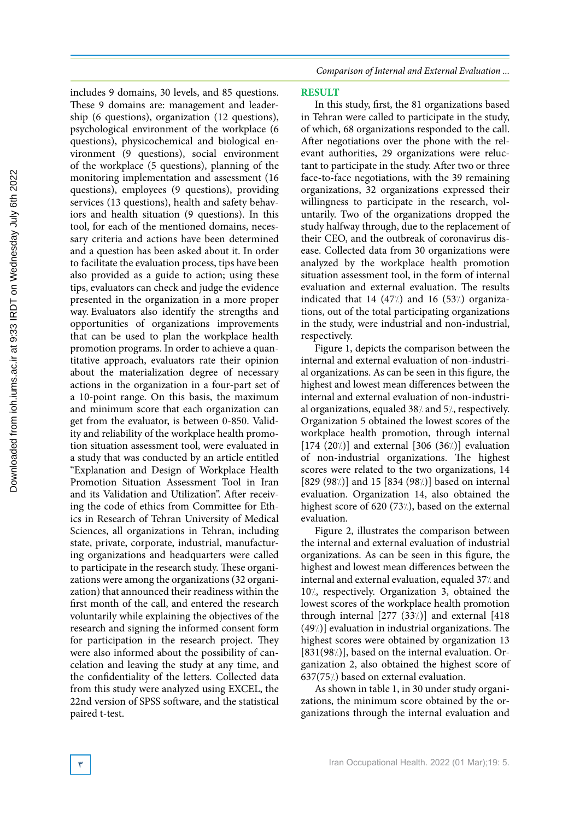includes 9 domains, 30 levels, and 85 questions. These 9 domains are: management and leadership (6 questions), organization (12 questions), psychological environment of the workplace (6 questions), physicochemical and biological environment (9 questions), social environment of the workplace (5 questions), planning of the monitoring implementation and assessment (16 questions), employees (9 questions), providing services (13 questions), health and safety behaviors and health situation (9 questions). In this tool, for each of the mentioned domains, necessary criteria and actions have been determined and a question has been asked about it. In order to facilitate the evaluation process, tips have been also provided as a guide to action; using these tips, evaluators can check and judge the evidence presented in the organization in a more proper way. Evaluators also identify the strengths and opportunities of organizations improvements that can be used to plan the workplace health promotion programs. In order to achieve a quantitative approach, evaluators rate their opinion about the materialization degree of necessary actions in the organization in a four-part set of a 10-point range. On this basis, the maximum and minimum score that each organization can get from the evaluator, is between 0-850. Validity and reliability of the workplace health promotion situation assessment tool, were evaluated in a study that was conducted by an article entitled "Explanation and Design of Workplace Health Promotion Situation Assessment Tool in Iran and its Validation and Utilization". After receiving the code of ethics from Committee for Ethics in Research of Tehran University of Medical Sciences, all organizations in Tehran, including state, private, corporate, industrial, manufacturing organizations and headquarters were called to participate in the research study. These organizations were among the organizations (32 organization) that announced their readiness within the first month of the call, and entered the research voluntarily while explaining the objectives of the research and signing the informed consent form for participation in the research project. They were also informed about the possibility of cancelation and leaving the study at any time, and the confidentiality of the letters. Collected data from this study were analyzed using EXCEL, the 22nd version of SPSS software, and the statistical paired t-test.

*Comparison of Internal and External Evaluation ...*

### **RESULT**

In this study, first, the 81 organizations based in Tehran were called to participate in the study, of which, 68 organizations responded to the call. After negotiations over the phone with the relevant authorities, 29 organizations were reluctant to participate in the study. After two or three face-to-face negotiations, with the 39 remaining organizations, 32 organizations expressed their willingness to participate in the research, voluntarily. Two of the organizations dropped the study halfway through, due to the replacement of their CEO, and the outbreak of coronavirus disease. Collected data from 30 organizations were analyzed by the workplace health promotion situation assessment tool, in the form of internal evaluation and external evaluation. The results indicated that  $14$  (47%) and  $16$  (53%) organizations, out of the total participating organizations in the study, were industrial and non-industrial, respectively.

Figure 1, depicts the comparison between the internal and external evaluation of non-industrial organizations. As can be seen in this figure, the highest and lowest mean differences between the internal and external evaluation of non-industrial organizations, equaled 38% and 5%, respectively. Organization 5 obtained the lowest scores of the workplace health promotion, through internal [174  $(20)$ ] and external [306  $(36)$ ] evaluation of non-industrial organizations. The highest scores were related to the two organizations, 14 [829 (98 $\chi$ )] and 15 [834 (98 $\chi$ )] based on internal evaluation. Organization 14, also obtained the highest score of 620 (73%), based on the external evaluation.

Figure 2, illustrates the comparison between the internal and external evaluation of industrial organizations. As can be seen in this figure, the highest and lowest mean differences between the internal and external evaluation, equaled 37/ and 10%, respectively. Organization 3, obtained the lowest scores of the workplace health promotion through internal  $[277 (33/)]$  and external  $[418$  $(49/1)$  evaluation in industrial organizations. The highest scores were obtained by organization 13  $[831(98)]$ , based on the internal evaluation. Organization 2, also obtained the highest score of  $637(75)$  based on external evaluation.

As shown in table 1, in 30 under study organizations, the minimum score obtained by the organizations through the internal evaluation and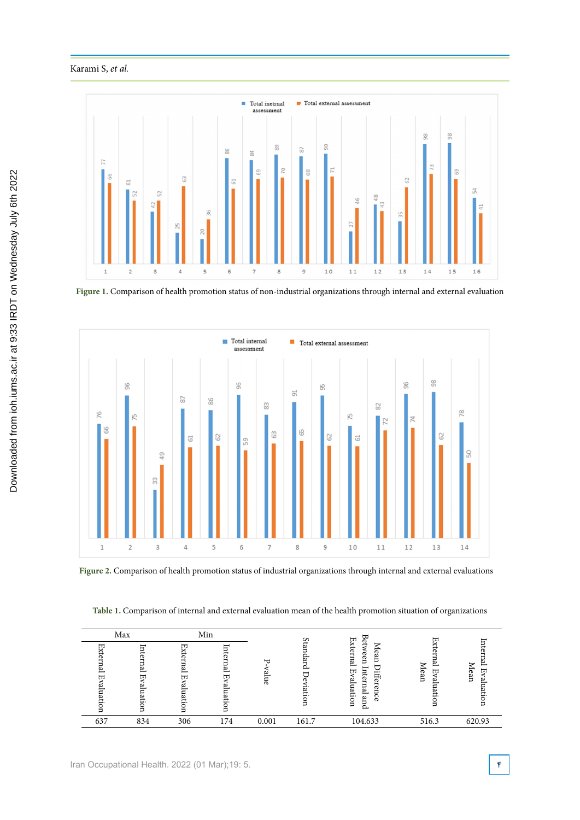## Karami S, *et al.*



Figure 1. Comparison of health promotion status of non-industrial organizations through internal and external

**Figure 1.** Comparison of health promotion status of non-industrial organizations through internal and external evaluation



Figure 2. Comparison of health promotion status of industrial organizations through internal and external evaluations

**Table 1.** Comparison of internal and external evaluation mean of the health promotion situation of organizations

| Max    |                                |              | Min    |           | $\epsilon$ | ₩<br>ര                                                                                                                       | π                                      |                   |
|--------|--------------------------------|--------------|--------|-----------|------------|------------------------------------------------------------------------------------------------------------------------------|----------------------------------------|-------------------|
| π<br>ᆔ | Internal<br>団<br>نع<br>Iuation | π.<br>ω<br>ℼ | ◫<br>ā | ₩<br>anne |            | ĚХ<br>$\rightarrow$<br>⇁<br>ನ<br>–<br>ര<br>een<br>Ena.<br>g<br>−<br>$\Box$<br>⋼<br>Æ<br>ಸ<br>notian<br>٣<br>ť<br>ര<br>$\sim$ | ಸ<br>∾<br>宝<br>-<br>Сą<br>ण<br>ь<br>Ξ. | ∽<br>団<br>Сą<br>ь |
| 637    | 834                            | 306          | 174    | 0.001     | 161.7      | 104.633                                                                                                                      | 516.3                                  | 620.93            |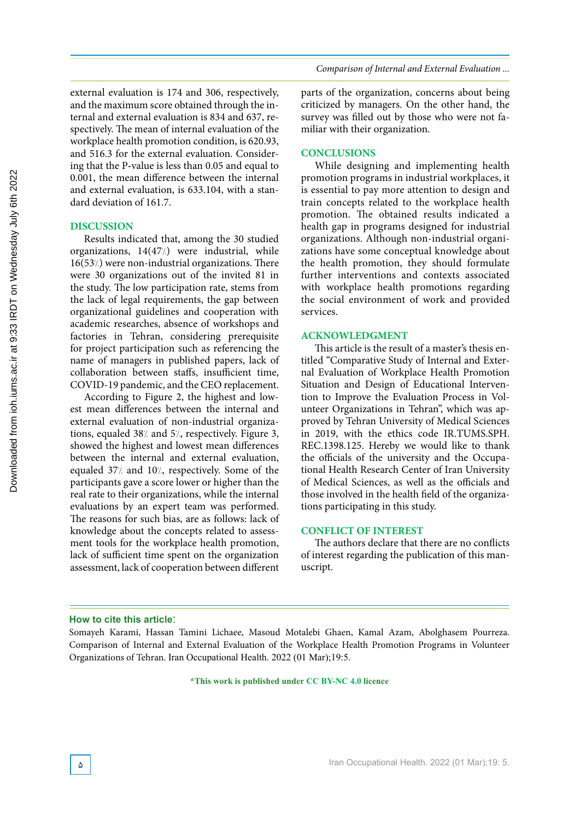external evaluation is 174 and 306, respectively, and the maximum score obtained through the internal and external evaluation is 834 and 637, respectively. The mean of internal evaluation of the workplace health promotion condition, is 620.93, and 516.3 for the external evaluation. Considering that the P-value is less than 0.05 and equal to 0.001, the mean difference between the internal and external evaluation, is 633.104, with a standard deviation of 161.7.

### **DISCUSSION**

Results indicated that, among the 30 studied organizations,  $14(47/)$  were industrial, while  $16(53)$  were non-industrial organizations. There were 30 organizations out of the invited 81 in the study. The low participation rate, stems from the lack of legal requirements, the gap between organizational guidelines and cooperation with academic researches, absence of workshops and factories in Tehran, considering prerequisite for project participation such as referencing the name of managers in published papers, lack of collaboration between staffs, insufficient time, COVID-19 pandemic, and the CEO replacement.

According to Figure 2, the highest and lowest mean differences between the internal and external evaluation of non-industrial organizations, equaled 38% and 5%, respectively. Figure 3, showed the highest and lowest mean differences between the internal and external evaluation, equaled 37% and 10%, respectively. Some of the participants gave a score lower or higher than the real rate to their organizations, while the internal evaluations by an expert team was performed. The reasons for such bias, are as follows: lack of knowledge about the concepts related to assessment tools for the workplace health promotion, lack of sufficient time spent on the organization assessment, lack of cooperation between different parts of the organization, concerns about being criticized by managers. On the other hand, the survey was filled out by those who were not familiar with their organization.

#### **CONCLUSIONS**

While designing and implementing health promotion programs in industrial workplaces, it is essential to pay more attention to design and train concepts related to the workplace health promotion. The obtained results indicated a health gap in programs designed for industrial organizations. Although non-industrial organizations have some conceptual knowledge about the health promotion, they should formulate further interventions and contexts associated with workplace health promotions regarding the social environment of work and provided services.

#### **ACKNOWLEDGMENT**

This article is the result of a master's thesis entitled "Comparative Study of Internal and External Evaluation of Workplace Health Promotion Situation and Design of Educational Intervention to Improve the Evaluation Process in Volunteer Organizations in Tehran", which was approved by Tehran University of Medical Sciences in 2019, with the ethics code IR.TUMS.SPH. REC.1398.125. Hereby we would like to thank the officials of the university and the Occupational Health Research Center of Iran University of Medical Sciences, as well as the officials and those involved in the health field of the organizations participating in this study.

## **CONFLICT OF INTEREST**

The authors declare that there are no conflicts of interest regarding the publication of this manuscript.

#### **How to cite this article**:

Somayeh Karami, Hassan Tamini Lichaee, Masoud Motalebi Ghaen, Kamal Azam, Abolghasem Pourreza. Comparison of Internal and External Evaluation of the Workplace Health Promotion Programs in Volunteer Organizations of Tehran. Iran Occupational Health. 2022 (01 Mar);19:5.

**\*This work is published under CC BY-NC 4.0 licence**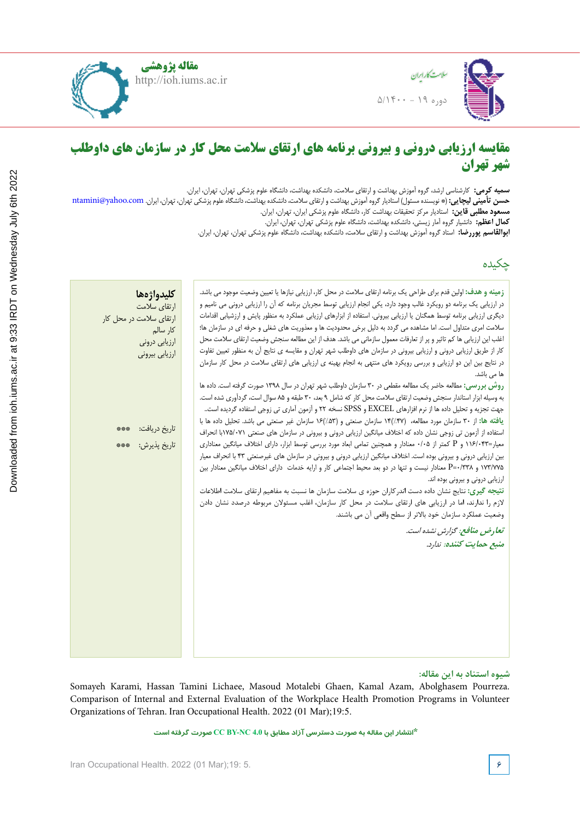

دوره ۱۹ - ۵/۱۴۰۰

سالمت کار اریان



# **مقایسه ارزیابی درونی و بیرونی برنامه های ارتقای سالمت محل کار در سازمان های داوطلب شهر تهران**

**سمیه کرمی:** کارشناسی ارشد، گروه آموزش بهداشت و ارتقای سالمت، دانشکده بهداشت، دانشگاه علوم پزشکی تهران، تهران، ایران. ح**سن تأمینی لیچایی: (\*** نویسنده مسئول) استادیار گروه آموزش بهداشت و ارتقای سلامت، دانشکده بهداشت، دانشگاه علوم پزشکی تهران، تهران، ایران. ntamini@yahoo.com **مسعود مطلبی قاین:** استادیار مرکز تحقیقات بهداشت کار، دانشگاه علوم پزشکی ایران، تهران، ایران. **کمال اعظم:** دانشیار گروه آمار زیستی، دانشکده بهداشت، دانشگاه علوم پزشکی تهران، تهران، ایران. **ابوالقاسم پوررضا:** استاد گروه آموزش بهداشت و ارتقای سالمت، دانشکده بهداشت، دانشگاه علوم پزشکی تهران، تهران، ایران.

# چکیده

| كليدواژهها<br>ارتقاى سلامت<br>ارتقای سلامت در محل کار<br>كار سالم<br>ارزیابی درونی<br>ارزيابي بيروني | <b>زمینه و هدف:</b> اولین قدم برای طراحی یک برنامه ارتقای سلامت در محل کار، ارزیابی نیازها یا تعیین وضعیت موجود می باشد.<br>در ارزیابی یک برنامه دو رویکرد غالب وجود دارد، یکی انجام ارزیابی توسط مجریان برنامه که آن را ارزیابی درونی می نامیم و<br>دیگری ارزیابی برنامه توسط همگنان یا ارزیابی بیرونی. استفاده از ابزارهای ارزیابی عملکرد به منظور پایش و ارزشیابی اقدامات<br>سلامت امری متداول است. اما مشاهده می گردد به دلیل برخی محدودیت ها و معذوریت های شغلی و حرفه ای در سازمان ها؛<br>اغلب این ارزیابی ها کم تاثیر و پر از تعارفات معمول سازمانی می باشد. هدف از این مطالعه سنجش وضعیت ارتقای سلامت محل<br>کار از طریق ارزیابی درونی و ارزیابی بیرونی در سازمان های داوطلب شهر تهران و مقایسه ی نتایج اًن به منظور تعیین تفاوت<br>در نتایج بین این دو ارزیابی و بررسی رویکرد های منتهی به انجام بهینه ی ارزیابی های ارتقای سلامت در محل کار سازمان<br>ها می باشد.                                                                                                                                                                                                                                                                                                                                                                                       |
|------------------------------------------------------------------------------------------------------|-------------------------------------------------------------------------------------------------------------------------------------------------------------------------------------------------------------------------------------------------------------------------------------------------------------------------------------------------------------------------------------------------------------------------------------------------------------------------------------------------------------------------------------------------------------------------------------------------------------------------------------------------------------------------------------------------------------------------------------------------------------------------------------------------------------------------------------------------------------------------------------------------------------------------------------------------------------------------------------------------------------------------------------------------------------------------------------------------------------------------------------------------------------------------------------------------------------------------------------------------------------------|
| تاريخ دريافت:<br>***<br>تاريخ پذيرش:<br>***                                                          | روش بررسی: مطالعه حاضر یک مطالعه مقطعی در ۳۰ سازمان داوطلب شهر تهران در سال ۱۳۹۸ صورت گرفته است. داده ها<br>به وسیله ابزار استاندار سنجش وضعیت ارتقای سلامت محل کار که شامل ۹ بعد، ۳۰ طبقه و ۸۵ سوال است، گردآوری شده است.<br>جهت تجزیه و تحلیل داده ها از نرم افزارهای EXCEL و SPSS نسخه ۲۲ و آزمون آماری تی زوجی استفاده گردیده است<br>يافته ها: از ٣٠ سازمان مورد مطالعه، ١۴(/.٤٧ سازمان صنعتي و (١۶//٥٣ سازمان غير صنعتي مي باشد. تحليل داده ها با<br>استفاده از آزمون تی زوجی نشان داده که اختلاف میانگین ارزیابی درونی و بیرونی در سازمان های صنعتی ۷۵/۰۷۱با انحراف<br>معیار=۱۱۶/۰۴۳ و P کمتر از ۰/۰۵ معنادار و همچنین تمامی ابعاد مورد بررسی توسط ابزار، دارای اختلاف میانگین معناداری<br>بین ارزیابی درونی و بیرونی بوده است. اختلاف میانگین ارزیابی درونی و بیرونی در سازمان های غیرصنعتی ۴۳ با انحراف معیار<br>۱۷۳/۷۷۵ و P=۰/۳۳۸ معنادار نیست و تنها در دو بعد محیط اجتماعی کار و ارایه خدمات دارای اختلاف میانگین معنادار بین<br>ارزیابی درونی و بیرونی بوده اند.<br><b>نتیجه گیری:</b> نتایج نشان داده دست اندرکاران حوزه ی سلامت سازمان ها نسبت به مفاهیم ارتقای سلامت اطلاعات<br>لازم را ندارند، اما در ارزیابی های ارتقای سلامت در محل کار سازمان، اغلب مسئولان مربوطه درصدد نشان دادن<br>وضعيت عملكرد سازمان خود بالاتر از سطح واقعي آن مي باشند. |
|                                                                                                      | تعارض منافع: گزارش نشده است.<br>منبع حمايت كننده: ندارد.                                                                                                                                                                                                                                                                                                                                                                                                                                                                                                                                                                                                                                                                                                                                                                                                                                                                                                                                                                                                                                                                                                                                                                                                          |

## **شیوه استناد به این مقاله:**

Somayeh Karami, Hassan Tamini Lichaee, Masoud Motalebi Ghaen, Kamal Azam, Abolghasem Pourreza. Comparison of Internal and External Evaluation of the Workplace Health Promotion Programs in Volunteer Organizations of Tehran. Iran Occupational Health. 2022 (01 Mar);19:5.

```
*انتشار این مقاله به صورت دسترسی آزاد مطابق با 4.0 NC-BY CC صورت گرفته است
```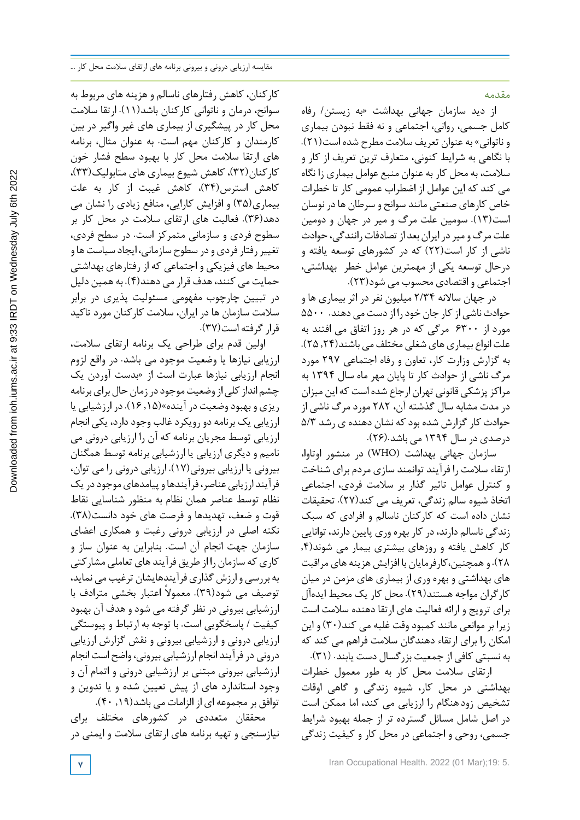مقدمه

از دید سازمان جهانی بهداشت «به زیستن/ رفاه کامل جسمی، روانی، اجتماعی و نه فقط نبودن بیماری و ناتوانی» به عنوان تعریف سالمت مطرح شده است(21). با نگاهی به شرایط کنونی، متعارف ترین تعریف از کار و سالمت، به محل کار به عنوان منبع عوامل بیماری زا نگاه می کند که این عوامل از اضطراب عمومی کار تا خطرات خاص کارهای صنعتی مانند سوانح و سرطان هادر نوسان است(13). سومین علت مرگ و میر در جهان و دومین علت مرگومیردرایران بعد ازتصادفاترانندگی، حوادث ناشی از کار است(22) که در کشورهای توسعه یافته و درحال توسعه یکی از مهمترین عوامل خطر بهداشتی، اجتماعی و اقتصادی محسوب می شود(23).

در جهان ساالنه 2/34 میلیون نفر در اثر بیماری ها و حوادث ناشی از کار جان خود را از دست می دهند. ۵۵۰۰ مورد از 6300 مرگی که در هر روز اتفاق می افتند به علت انواع بیماری های شغلی مختلف می باشند(۲۴ ـ ۲۵). به گزارش وزارت کار، تعاون و رفاه اجتماعی 297 مورد مرگ ناشی از حوادث کار تا پایان مهر ماه سال 1394 به مراکزپزشکی قانونی تهران ارجاع شده است که این میزان در مدت مشابه سال گذشته آن، 282 مورد مرگ ناشی از حوادث کارگزارش شده بودکه نشان دهنده ی رشد 5/3 درصدی در سال 1394 می باشد.(26).

سازمان جهانی بهداشت (WHO (در منشور اوتاوا، ارتقاء سالمت را فرآیند توانمند سازی مردم برای شناخت و کنترل عوامل تاثیر گذار بر سالمت فردی، اجتماعی اتخاذ شیوه سالم زندگی، تعریف می کند(27). تحقیقات نشان داده است که کارکنان ناسالم و افرادی که سبک زندگی ناسالم دارند،درکار بهره وری پایین دارند، توانایی کار کاهش یافته و روزهای بیشتری بیمار می شوند(,4 28). وهمچنین،کارفرمایان با افزایش هزینه های مراقبت های بهداشتی و بهره وری از بیماری های مزمن در میان کارگران مواجه هستند(29). محل کار یک محیط ایدهآل برای ترویج و ارائه فعالیت های ارتقا دهنده سالمت است زیرا بر موانعی مانند کمبود وقت غلبه می کند(30) و این امکان را برای ارتقاء دهندگان سالمت فراهم می کند که به نسبتی کافی از جمعیت بزرگسال دست یابند. (31).

ارتقای سالمت محل کار به طور معمول خطرات بهداشتی در محل کار، شیوه زندگی و گاهی اوقات تشخیص زودهنگام را ارزیابی می کند، اما ممکن است در اصل شامل مسائل گسترده تر از جمله بهبود شرایط جسمی، روحی و اجتماعی در محل کار و کیفیت زندگی

**7** Iran Occupational Health. 2022 (01 Mar);19: 5.

کارکنان، کاهش رفتارهای ناسالم و هزینه های مربوط به سوانح، درمان و ناتوانی کارکنان باشد(11). ارتقا سالمت محل کار در پیشگیری از بیماری های غیر واگیر در بین کارمندان و کارکنان مهم است. به عنوان مثال، برنامه های ارتقا سالمت محل کار با بهبود سطح فشار خون کارکنان(32)، کاهش شیوع بیماری های متابولیک(33)، کاهش استرس(34)، کاهش غیبت از کار به علت بیماری(35) و افزایش کارایی، منافع زیادی را نشان می دهد(36). فعالیت های ارتقای سالمت در محل کار بر سطوح فردی و سازمانی متمرکز است. در سطح فردی، تغییر رفتار فردی و در سطوح سازمانی، ایجاد سیاست ها و محیط هاي فیزیکی و اجتماعی که از رفتارهاي بهداشتی حمایت می کنند،هدف قرار می دهند(4). به همین دلیل در تبیین چارچوب مفهومی مسئولیت پذیری در برابر سالمت سازمان ها در ایران، سالمت کارکنان مورد تاکید قرارگرفته است(37).

اولین قدم براي طراحی یک برنامه ارتقای سالمت، ارزیابی نیازها یا وضعیت موجود می باشد. در واقع لزوم انجام ارزیابی نیازها عبارت است از «بدست آوردن یک چشم انداز کلی از وضعیت موجود در زمان حال برای برنامه ریزی و بهبودوضعیت در آینده»(,15 16).در ارزشیابی یا ارزیابی یک برنامه دو رویکردغالب وجوددارد، یکی انجام ارزیابی توسط مجریان برنامه که آن را ارزیابی درونی می نامیم و دیگری ارزیابی یا ارزشیابی برنامه توسط همگنان بیرونی یا ارزیابی بیرونی(17). ارزیابی درونی را می توان، فرآیند ارزیابی عناصر، فرآیندها و پیامدهای موجود در یک نظام توسط عناصر همان نظام به منظور شناسایی نقاط قوت و ضعف، تهدیدها و فرصت های خود دانست(38). نکته اصلی در ارزیابی درونی رغبت و همکاری اعضای سازمان جهت انجام آن است. بنابراین به عنوان ساز و کاری که سازمان را از طریق فرآیند های تعاملی مشارکتی به بررسی وارزش گذاری فرآیندهایشان ترغیب می نماید، توصیف می شود(۳۹). معمولاً اعتبار بخشی مترادف با ارزشیابی بیرونی در نظر گرفته می شود وهدف آن بهبود کیفیت / پاسخگویی است. با توجه به ارتباط و پیوستگی ارزیابی درونی و ارزشیابی بیرونی و نقش گزارش ارزیابی درونی در فرآیند انجام ارزشیابی بیرونی، واضح است انجام ارزشیابی بیرونی مبتنی بر ارزشیابی درونی و اتمام آن و وجود استاندارد های از پیش تعیین شده و یا تدوین و توافق بر مجموعه ای از الزامات می باشد(۱۹, ۴۰).

محققان متعددی در کشورهای مختلف برای نیازسنجی و تهیه برنامه های ارتقای سالمت و ایمنی در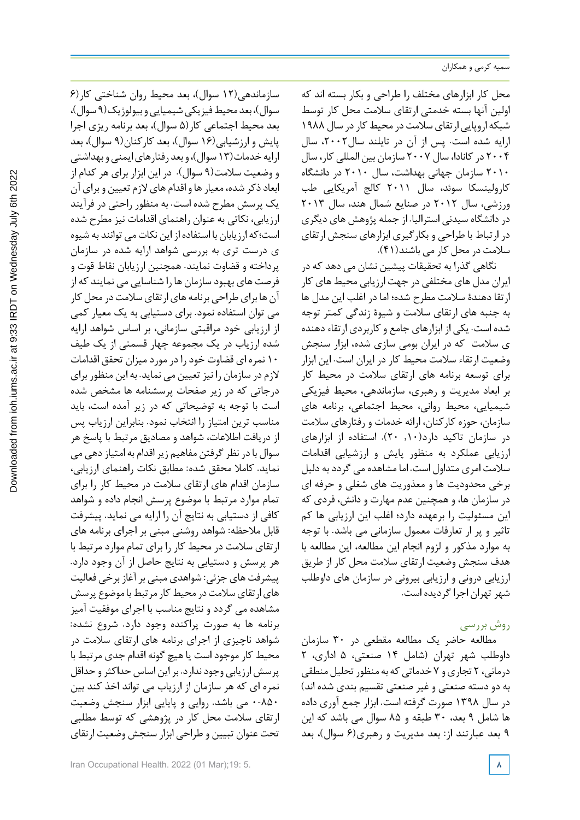محل کار ابزارهای مختلف را طراحی و بکار بسته اند که اولین آنها بسته خدمتی ارتقای سالمت محل کار توسط شبکه اروپایی ارتقای سلامت در محیط کار در سال ۱۹۸۸ ارایه شده است. پس از آن در تایلند سال،2002 سال 2004 درکانادا، سال 2007 سازمان بین المللی کار، سال 2010 سازمان جهانی بهداشت، سال 2010 در دانشگاه کارولینسکا سوئد، سال 2011 کالج آمریکایی طب ورزشی، سال 2012 در صنایع شمال هند، سال 2013 دردانشگاه سیدنی استرالیا. از جمله پژوهش های دیگری در ارتباط با طراحی و بکارگیری ابزارهای سنجش ارتقای سالمت در محل کار می باشند(41).

نگاهی گذرا به تحقیقات پیشین نشان می دهد که در ایران مدل های مختلفی در جهت ارزیابی محیط های کار ارتقا دهندة سالمت مطرح شده؛ اما در اغلب این مدل ها به جنبه های ارتقای سالمت و شیوة زندگی کمتر توجه شده است. یکی از ابزارهای جامع وکاربردی ارتقاءدهنده ی سالمت که در ایران بومی سازی شده، ابزار سنجش وضعیت ارتقاء سالمت محیط کار در ایران است. این ابزار برای توسعه برنامه های ارتقای سالمت در محیط کار بر ابعاد مدیریت و رهبری، سازماندهی، محیط فیزیکی شیمیایی، محیط روانی، محیط اجتماعی، برنامه های سازمان، حوزه کارکنان، ارائه خدمات و رفتارهای سالمت در سازمان تاکید دارد(,10 20). استفاده از ابزارهای ارزیابی عملکرد به منظور پایش و ارزشیابی اقدامات سالمت امری متداول است. اما مشاهده می گرددبه دلیل برخی محدودیت ها و معذوریت های شغلی و حرفه ای در سازمان ها، و همچنین عدم مهارت و دانش، فردی که این مسئولیت را برعهده دارد؛ اغلب این ارزیابی ها کم تاثیر و پر ار تعارفات معمول سازمانی می باشد. با توجه به موارد مذکور و لزوم انجام این مطالعه، این مطالعه با هدف سنجش وضعیت ارتقای سالمت محل کار از طریق ارزیابی درونی و ارزیابی بیرونی در سازمان های داوطلب شهرتهران اجراگردیده است.

# روش بررسی

مطالعه حاضر یک مطالعه مقطعی در 30 سازمان داوطلب شهر تهران (شامل 14 صنعتی، 5 اداری، 2 درمانی، ۲ تجاری و ۷ خدماتی که به منظور تحلیل منطقی به دو دسته صنعتی و غیر صنعتی تقسیم بندی شده اند) در سال 1398 صورت گرفته است. ابزار جمع آوری داده ها شامل 9 بعد، 30 طبقه و 85 سوال می باشد که این 9 بعد عبارتند از: بعد مدیریت و رهبری(6 سوال)، بعد

سازماندهی(12 سوال)، بعد محیط روان شناختی کار(6 سوال)، بعد محیط فیزیکی شیمیایی و بیولوژیک(۹ سوال)، بعد محیط اجتماعی کار(5 سوال)، بعد برنامه ریزی اجرا پایش و ارزشیابی(16 سوال)، بعد کارکنان(9 سوال)، بعد ارایه خدمات(١٣ سوال)، و بعد رفتارهای ایمنی و بهداشتی و وضعیت سالمت(9 سوال). در این ابزار برای هر کدام از ابعادذکر شده، معیارها و اقدام های الزم تعیین و برای آن یک پرسش مطرح شده است. به منظور راحتی در فرآیند ارزیابی، نکاتی به عنوان راهنمای اقدامات نیز مطرح شده است؛که ارزیابان با استفاده از این نکاتمی توانند به شیوه ی درست تری به بررسی شواهد ارایه شده در سازمان پرداخته و قضاوت نمایند. همچنین ارزیابان نقاط قوت و فرصت های بهبود سازمان ها را شناسایی می نمایند که از آن ها برای طراحی برنامه های ارتقای سلامت در محل کار می توان استفاده نمود. برای دستیابی به یک معیار کمی از ارزیابی خود مراقبتی سازمانی، بر اساس شواهد ارایه شده ارزیاب در یک مجموعه چهار قسمتی از یک طیف 10 نمره ای قضاوت خودرادر موردمیزان تحقق اقدامات الزم در سازمان را نیزتعیین می نماید. به این منظور برای درجاتی که در زیر صفحات پرسشنامه ها مشخص شده است با توجه به توضیحاتی که در زیر آمده است، باید مناسب ترین امتیاز را انتخاب نمود. بنابراین ارزیاب پس از دریافت اطالعات، شواهد و مصادیق مرتبط با پاسخ هر سوال بادر نظرگرفتن مفاهیم زیراقدام به امتیازدهی می نماید. کامال محقق شده: مطابق نکات راهنمای ارزیابی، سازمان اقدام های ارتقای سالمت در محیط کار را برای تمام موارد مرتبط با موضوع پرسش انجام داده و شواهد کافی از دستیابی به نتایج آن را ارایه می نماید. پیشرفت قابل ملاحظه: شواهد روشنی مبنی بر اجرای برنامه های ارتقای سالمت در محیط کار را برای تمام موارد مرتبط با هر پرسش و دستیابی به نتایج حاصل از آن وجود دارد. پیشرفت های جزئی: شواهدی مبنی برآغاز برخی فعالیت های ارتقای سلامت در محیط کار مرتبط با موضوع پرسش مشاهده می گردد و نتایج مناسب با اجرای موفقیت آمیز برنامه ها به صورت پراکنده وجود دارد. شروع نشده: شواهد ناچیزی از اجرای برنامه های ارتقای سالمت در محیط کار موجود است یاهیچ گونه اقدام جدی مرتبط با پرسش ارزیابی وجود ندارد. بر این اساس حداکثر و حداقل نمره ای که هر سازمان از ارزیاب می تواند اخذ کند بین 0-850 می باشد. روایی و پایایی ابزار سنجش وضعیت ارتقای سالمت محل کار در پژوهشی که توسط مطلبی تحت عنوان تبیین و طراحی ابزار سنجش وضعیت ارتقای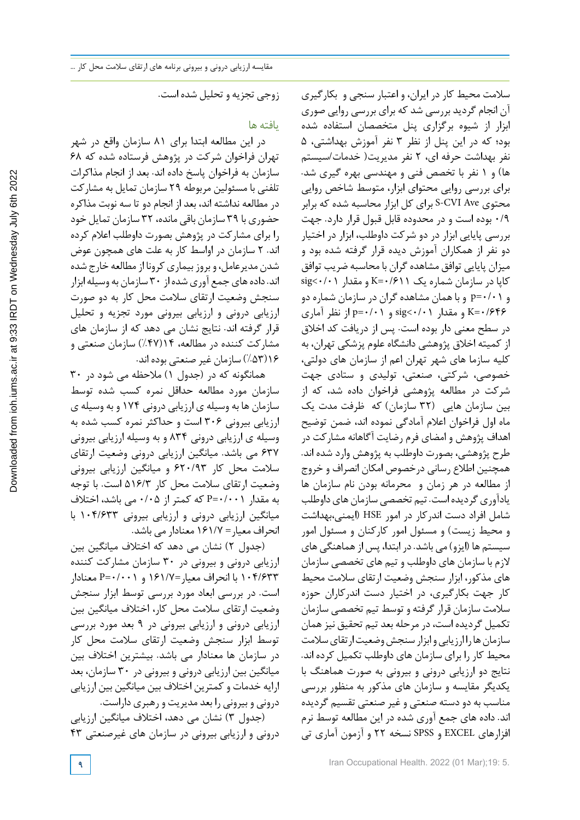زوجی تجزیه و تحلیل شده است.

## یافته ها

در این مطالعه ابتدا برای 81 سازمان واقع در شهر تهران فراخوان شرکت در پژوهش فرستاده شده که 68 سازمان به فراخوان پاسخ داده اند. بعد از انجام مذاکرات تلفنی با مسئولین مربوطه 29 سازمان تمایل به مشارکت در مطالعه نداشته اند، بعد از انجام دو تا سه نوبت مذاکره حضوری با 39 سازمان باقی مانده، 32 سازمان تمایل خود را برای مشارکت در پژوهش بصورت داوطلب اعالم کرده اند. 2 سازمان در اواسط کار به علت های همچون عوض شدن مدیرعامل، و بروز بیماری کرونا از مطالعه خارج شده اند.دادههایجمع آوریشدهاز 30 سازمان به وسیله ابزار سنجش وضعیت ارتقای سالمت محل کار به دو صورت ارزیابی درونی و ارزیابی بیرونی مورد تجزیه و تحلیل قرار گرفته اند. نتایج نشان می دهد که از سازمان های مشارکت کننده در مطالعه، 14(%47) سازمان صنعتی و 16(%53) سازمان غیر صنعتی بوده اند.

همانگونه که در (جدول 1) مالحظه می شود در 30 سازمان مورد مطالعه حداقل نمره کسب شده توسط سازمان ها به وسیله ی ارزیابی درونی 174 و به وسیله ی ارزیابی بیرونی 306 است و حداکثر نمره کسب شده به وسیله ی ارزیابی درونی 834 و به وسیله ارزیابی بیرونی 637 می باشد. میانگین ارزیابی درونی وضعیت ارتقای سالمت محل کار 620/93 و میانگین ارزیابی بیرونی وضعیت ارتقای سالمت محل کار 516/3 است. با توجه به مقدار 0/001=P که کمتر از 0/05 می باشد، اختالف میانگین ارزیابی درونی و ارزیابی بیرونی 104/633 با انحراف معیار= 161/7 معنادار می باشد.

(جدول 2) نشان می دهد که اختالف میانگین بین ارزیابی درونی و بیرونی در 30 سازمان مشارکت کننده 104/633 با انحراف معیار=161/7 و 0/001=P معنادار است. در بررسی ابعاد مورد بررسی توسط ابزار سنجش وضعیت ارتقای سالمت محل کار، اختالف میانگین بین ارزیابی درونی و ارزیابی بیرونی در 9 بعد مورد بررسی توسط ابزار سنجش وضعیت ارتقای سالمت محل کار در سازمان ها معنادار می باشد. بیشترین اختالف بین میانگین بین ارزیابی درونی و بیرونی در 30 سازمان، بعد ارایه خدمات و کمترین اختالف بین میانگین بین ارزیابی درونی و بیرونی را بعد مدیریت و رهبری داراست.

(جدول 3) نشان می دهد، اختالف میانگین ارزیابی درونی و ارزیابی بیرونی در سازمان های غیرصنعتی 43

افزارهای EXCEL و SPSS نسخه 22 و آزمون آماری تی

سالمت محیط کار در ایران، و اعتبار سنجی و بکارگیری آن انجام گردید بررسی شد که برای بررسی روایی صوری ابزار از شیوه برگزاری پنل متخصصان استفاده شده بود؛ که در این پنل از نظر 3 نفر آموزش بهداشتی، 5 نفر بهداشت حرفه ای، 2 نفر مدیریت( خدمات/سیستم ها) و 1 نفر با تخصص فنی و مهندسی بهره گیری شد. برای بررسی روایی محتوای ابزار، متوسط شاخص روایی محتوی Ave CVI-S برای کل ابزار محاسبه شده که برابر 0/9 بوده است و در محدوده قابل قبول قرار دارد. جهت بررسی پایایی ابزار در دو شرکت داوطلب، ابزار در اختیار دو نفر از همکاران آموزش دیده قرار گرفته شده بود و میزان پایایی توافق مشاهدهگران با محاسبه ضریب توافق  $sig<\cdot/ \cdot$ ) کاپا در سازمان شماره یک  $K = \cdot / 511$  و مقدار  $\cdot$ و 0/01=p و باهمان مشاهده گران در سازمان شماره دو 0/646=K و مقدار 0/01>sig و 0/01=p از نظر آماری در سطح معنی دار بوده است. پس از دریافت کد اخالق از کمیته اخالق پژوهشی دانشگاه علوم پزشکی تهران، به کلیه سازما های شهر تهران اعم از سازمان های دولتی، خصوصی، شرکتی، صنعتی، تولیدی و ستادی جهت شرکت در مطالعه پژوهشی فراخوان داده شد، که از بین سازمان هایی (32 سازمان) که ظرفت مدت یک ماه اول فراخوان اعالم آمادگی نموده اند، ضمن توضیح اهداف پژوهش و امضای فرم رضایت آگاهانه مشارکت در طرح پژوهشی، بصورت داوطلب به پژوهش وارد شده اند. همچنین اطالع رسانی درخصوص امکان انصراف و خروج از مطالعه در هر زمان و محرمانه بودن نام سازمان ها یادآوری گردیده است. تیم تخصصی سازمان های داوطلب شامل افراد دست اندرکار در امور HSE) ایمنی،بهداشت و محیط زیست) و مسئول امور کارکنان و مسئول امور سیستم ها (ایزو) می باشد. در ابتدا، پس ازهماهنگی های الزم با سازمان های داوطلب و تیم های تخصصی سازمان های مذکور، ابزار سنجش وضعیت ارتقای سالمت محیط کار جهت بکارگیری، در اختیار دست اندرکاران حوزه سالمت سازمان قرارگرفته و توسط تیم تخصصی سازمان تکمیل گردیده است،در مرحله بعد تیم تحقیق نیزهمان سازمان ها راارزیابی وابزار سنجش وضعیت ارتقای سلامت محیط کار را برای سازمان های داوطلب تکمیل کرده اند. نتایج دو ارزیابی درونی و بیرونی به صورت هماهنگ با یکدیگر مقایسه و سازمان های مذکور به منظور بررسی مناسب به دو دسته صنعتی و غیر صنعتی تقسیم گردیده اند. داده های جمع آوری شده در این مطالعه توسط نرم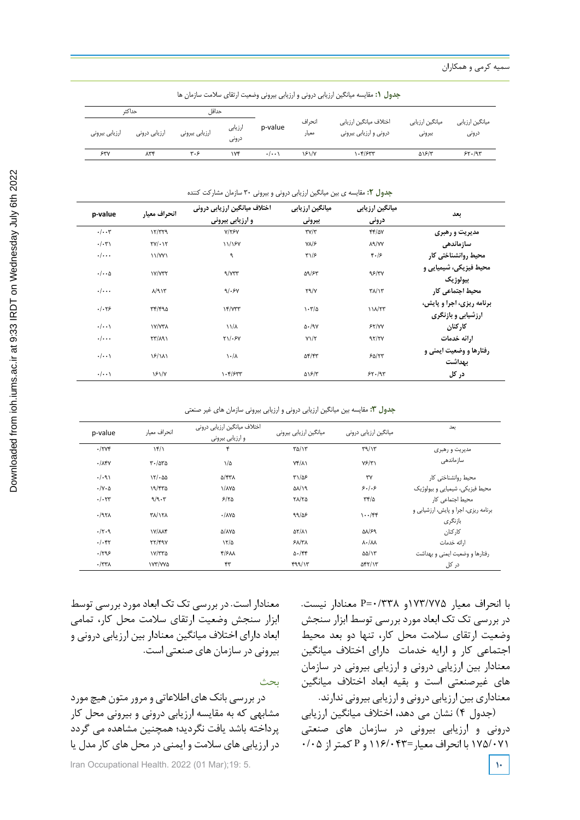Downloaded from ioh.iums.ac.ir at 9:33 IRDT on Wednesday July 6th 2022 [Downloaded from ioh.iums.ac.ir at 9:33 IRDT on Wednesday July 6th 2022](http://ioh.iums.ac.ir/article-1-3267-fa.html)

| حداكث          |               | حداقا          |                  |                    |                 |                                                  |                           |                          |
|----------------|---------------|----------------|------------------|--------------------|-----------------|--------------------------------------------------|---------------------------|--------------------------|
| ارزيابي بيروني | ارزیابی درونی | ارزيابي بيروني | ارزيابى<br>درونى | p-value            | انحراف<br>معيار | اختلاف ميانگين ارزيابي<br>درونی و ارزیابی بیرونی | میانگین ارزیابی<br>بيرونى | میانگین ارزیابی<br>درونى |
| 54V            | ۸۳۴           | ۳۰۶            | ١٧۴              | $\cdot/\cdot\cdot$ | 151/V           | 1.4/۶۳۳                                          | <b>A18/٣</b>              | 55.197                   |

.<br>**جدول ۲:** مقایسه ی بین میانگین ارزیابی درونی و بیرونی ۳۰ سازمان مشارکت کننده

| p-value                   | انحراف معيار            | اختلاف ميانگين ارزيابي دروني<br>و ارزیابی بیرونی | میانگین ارزیابی<br>بيروني      | میانگین ارزیابی<br>درونی | بعد                                             |
|---------------------------|-------------------------|--------------------------------------------------|--------------------------------|--------------------------|-------------------------------------------------|
| $\cdot/\cdot\cdot$ ۳      | 17/T79                  | Y/YYY                                            | $\mathbf{y}/\mathbf{x}$        | $YY/\Delta V$            | مدیریت و رهبری                                  |
| $\cdot/\cdot\tau$         | $TY/\cdot Y$            | 11/187                                           | $Y\Lambda/\mathcal{F}$         | <b>AR/YY</b>             | سازماندهي                                       |
| $\cdot/\cdot\cdot$        | 11/YY                   | ٩                                                | $\Gamma\backslash/\mathcal{F}$ | 4.15                     | محیط روانشناختی کار                             |
| $\cdot/\cdot\cdot \Delta$ | $Y/Y^*Y$                | 9/77                                             | 59/85                          | 98/٣٧                    | محیط فیزیکی، شیمیایی و<br>بيولوژيک              |
| $\cdot/\cdots$            | $\Lambda$ /9 $\Upsilon$ | 9/58                                             | $Y^q/Y$                        | $\frac{1}{2}$            | محيط اجتماعي كار                                |
| .1.79                     | rr/490                  | $Yf/Y^*$                                         | $\cdot \tau/\Delta$            | $111/\tau\tau$           | برنامه ریزی، اجرا و پایش،<br>ارزشیابی و بازنگری |
| $\cdot/\cdot\cdot$        | <b><i>IY/YTA</i></b>    | $11/\lambda$                                     | $\Delta \cdot / 9V$            | 55/YY                    | کا, کنان                                        |
| $\cdot/\cdot\cdot\cdot$   | $\Gamma$                | $Y1/\cdot Y$                                     | $Y\mathcal{Y}/\mathcal{Y}$     | 97/7V                    | ا,ائه خدمات                                     |
| $\cdot/\cdot\cdot$        | $\frac{5}{2}$           | $\lambda \cdot / \lambda$                        | $\Delta f/fT$                  | 50/57                    | <b>رفتارها و وضعیت ایمنی و</b><br>بهداشت        |
| $\cdot/\cdot\cdot$        | <b>181/4</b>            | 1.577                                            | ۵۱۶/۳                          | 54.49                    | در کل                                           |

جدول :3 مقايسه بين ميانگين ارزيابي دروني و ارزيابي بيروني سازمان هاي غير صنعتي **جدول :3** مقایسه بین میانگین ارزیابی درونی و ارزیابی بیرونی سازمان های غیر صنعتی

| p-value                     | انحراف معيار          | اختلاف ميانگين ارزيابي دروني<br>و ارزیابی بیرونی | میانگین ارزیابی بیرونی    | میانگین ارزیابی درونی             | بعد                                             |
|-----------------------------|-----------------------|--------------------------------------------------|---------------------------|-----------------------------------|-------------------------------------------------|
| $\cdot$ /۲۷۴                | $\frac{16}{1}$        | ۴                                                | $\frac{1}{2}$             | T9/Y                              | مدیریت و رهبری                                  |
| $\cdot$ / $\Lambda$ ۴۷      | $r - \Delta r \Delta$ | $1/\Delta$                                       | $Yf/\lambda$              | YF/Y                              | سازماندهی                                       |
| .7.91                       | 151.00                | <b>D/FTA</b>                                     | $T1/\Delta F$             | $\mathsf{r}\mathsf{v}$            | محيط روانشناختى كار                             |
| $\cdot/\gamma \cdot \Delta$ | 19/570                | <b>1/174</b>                                     | $\Delta\lambda/\lambda$ 9 | 5.1.5                             | محیط فیزیکی، شیمیایی و بیولوژیک                 |
| .1.57                       | 9/9.5                 | 5/70                                             | $Y\Lambda/Y\Delta$        | $\tau f/\Delta$                   | محیط اجتماعی کار                                |
| $-197$                      | <b>٣٨/١٢٨</b>         | $\cdot$ / $\lambda$ Ya                           | 99/25                     | $\cdots$ /۴۴                      | برنامه ریزی، اجرا و پایش، ارزشیابی و<br>بازنگری |
| $-7.9$                      | <b>IV/ANF</b>         | A/AYA                                            | $\Delta Y/\Delta Y$       | <b>AN/S9</b>                      | کا, کنان                                        |
| .1.57                       | YY/49Y                | 17/2                                             | $5\lambda/\tau\lambda$    | $\lambda \cdot / \lambda \lambda$ | ارائه خدمات                                     |
| .1795                       | Y/TY0                 | F/FM                                             | $\Delta$ ./۴۴             | $\Delta \Delta / \gamma$          | رفتارها و وضعیت ایمنی و بهداشت                  |
| $\cdot$ /٣٣ $\Lambda$       | IVY/YYA               | ۴۳                                               | 499/15                    | $\Delta f Y/Y$                    | در کل                                           |

معنادار است. در بررسی تک تک ابعادموردبررسی توسط ابزار سنجش وضعیت ارتقای سالمت محل کار، تمامی ابعاد دارای اختالف میانگین معنادار بین ارزیابی درونی و بیرونی در سازمان های صنعتی است.

بحث

در بررسی بانک های اطالعاتی و مرور متون هیچ مورد مشابهی که به مقایسه ارزیابی درونی و بیرونی محل کار پرداخته باشد یافت نگردید؛ همچنین مشاهده می گردد در ارزیابی های سالمت و ایمنی در محل های کار مدل یا

Iran Occupational Health. 2022 (01 Mar);19: 5.

با انحراف معیار 173/775و 0/338=P معنادار نیست. در بررسی تک تک ابعاد مورد بررسی توسط ابزار سنجش وضعیت ارتقای سالمت محل کار، تنها دو بعد محیط اجتماعی کار و ارایه خدمات دارای اختالف میانگین معنادار بین ارزیابی درونی و ارزیابی بیرونی در سازمان های غیرصنعتی است و بقیه ابعاد اختالف میانگین معناداری بین ارزیابی درونی و ارزیابی بیرونی ندارند.

(جدول 4) نشان می دهد، اختالف میانگین ارزیابی درونی و ارزیابی بیرونی در سازمان های صنعتی 175/071 با انحراف معیار=116/043 و P کمتر از 0/05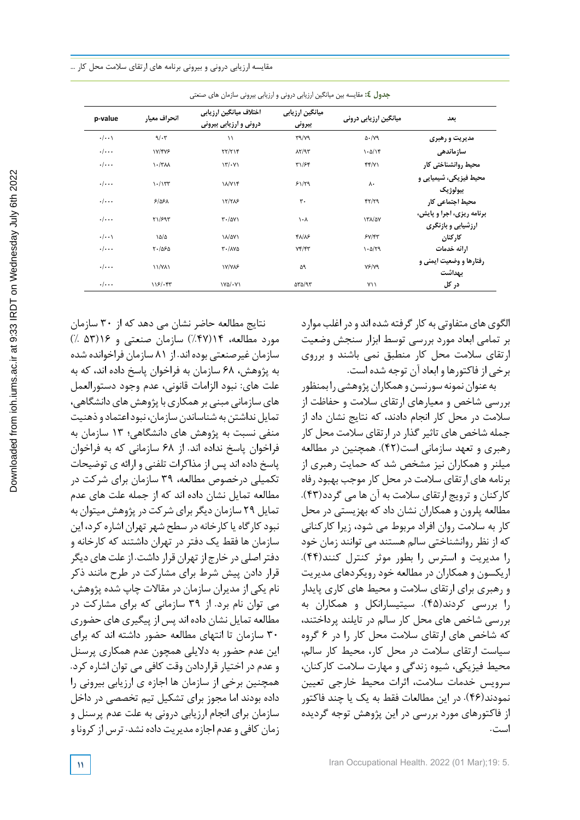مقایسه ارزیابی درونی و بیرونی برنامه های ارتقای سالمت محل کار ...

| p-value            | انحراف معيار                  | اختلاف ميانگين ارزيابي<br>درونی و ارزیابی بیرونی | میانگین ارزیابی<br>بيروني                  | میانگین ارزیابی درونی | بعد                                             |
|--------------------|-------------------------------|--------------------------------------------------|--------------------------------------------|-----------------------|-------------------------------------------------|
| $\cdot/\cdot\cdot$ | $9/\cdot 7$                   | $\setminus$                                      | $\Gamma$ 9/ $\gamma$ ۹                     | $\Delta$ ./ $Y$ 9     | مدیریت و رهبری                                  |
| $\cdot/\cdot\cdot$ | ۱۷/۴۷۶                        | $\Upsilon\Upsilon/\Upsilon$                      | $\lambda \Upsilon / \mathfrak{R} \Upsilon$ | $1 - \Delta/15$       | سازماندهى                                       |
| $\cdot/\cdot\cdot$ | $\lambda - \lambda + \lambda$ | $\mathcal{N}(\cdot \mathcal{V})$                 | ۳۱/۶۴                                      | f(f Y)                | محيط روانشناختى كار                             |
| $\cdot/\cdots$     | $\frac{1}{\sqrt{2}}$          | ۱۸/۷۱۴                                           | 51/79                                      | ٨٠                    | محیط فیزیکی، شیمیایی و<br>بيولوژيک              |
| $\cdot/\cdot\cdot$ | 5/05A                         | 17/705                                           | ٣.                                         | YY/YY                 | محیط اجتماعی کار                                |
| $\cdot/\cdots$     | Y1/F97                        | $\mathsf{r}\cdot\mathsf{r}$                      | $\lambda \cdot \lambda$                    | <b>١٣٨/٥٧</b>         | برنامه ریزی، اجرا و پایش،<br>ارزشیابی و بازنگری |
| $\cdot/\cdot\cdot$ | ۱۵/۵                          | ١٨/۵٧١                                           | 47/75                                      | $5Y/\sqrt{5}Y$        | کارکنان                                         |
| $\cdot/\cdot\cdot$ | $Y - \Delta S \Delta$         | $T - / \Lambda V \Delta$                         | Yf/ff                                      | $1 - \Delta/T9$       | ارائه خدمات                                     |
| $\cdot/\cdot\cdot$ | <b>11/YA1</b>                 | <b>IV/VAS</b>                                    | ۵۹                                         | YF/YQ                 | رفتارها و وضعیت ایمنی و<br>بهداشت               |
| $\cdot/\cdot\cdot$ | 118/197                       | $Y\Delta/\cdot Y$                                | $\Delta r \Delta/T$                        | ۷۱۱                   | در کل                                           |

جدول :4 مقايسه بين ميانگين ارزيابي دروني و ارزيابي بيروني سازمان هاي صنعتي **جدول :4** مقایسه بین میانگین ارزیابی درونی و ارزیابی بیرونی سازمان های صنعتی

الگوی های متفاوتی به کار گرفته شده اند و در اغلب موارد بر تمامی ابعاد مورد بررسی توسط ابزار سنجش وضعیت ارتقای سالمت محل کار منطبق نمی باشند و برروی برخی از فاکتورها و ابعادآن توجه شده است.

به عنوان نمونه سورنسن و همکاران پژوهشی را بمنظور بررسی شاخص و معیارهای ارتقای سالمت و حفاظت از سالمت در محل کار انجام دادند، که نتایج نشان داد از جمله شاخص های تاثیرگذاردر ارتقای سالمت محل کار رهبری و تعهد سازمانی است(42). همچنین در مطالعه میلنر و همکاران نیز مشخص شد که حمایت رهبری از برنامه های ارتقای سالمت در محل کار موجب بهبود رفاه کارکنان و ترویج ارتقای سالمت به آن ها می گردد(43). مطالعه پلرون و همکاران نشان داد که بهزیستی در محل کار به سالمت روان افراد مربوط می شود، زیرا کارکنانی که از نظر روانشناختی سالم هستند می توانند زمان خود را مدیریت و استرس را بطور موثر کنترل کنند(44). اریکسون وهمکاران در مطالعه خود رویکردهای مدیریت و رهبری برای ارتقای سالمت و محیط های کاری پایدار را بررسی کردند(45). سیتیسارانکل و همکاران به بررسی شاخص های محل کار سالم در تایلند پرداختند، که شاخص های ارتقای سالمت محل کار را در 6 گروه سیاست ارتقای سالمت در محل کار، محیط کار سالم، محیط فیزیکی، شیوه زندگی و مهارت سالمت کارکنان، سرویس خدمات سالمت، اثرات محیط خارجی تعیین نمودند(46). در این مطالعات فقط به یک یا چند فاکتور از فاکتورهای مورد بررسی در این پژوهش توجه گردیده است.

نتایج مطالعه حاضر نشان می دهد که از 30 سازمان مورد مطالعه، 14(%47) سازمان صنعتی و 16(53 %) سازمان غیرصنعتی بوده اند. از 81 سازمان فراخوانده شده به پژوهش، 68 سازمان به فراخوان پاسخ داده اند، که به علت های: نبود الزامات قانونی، عدم وجود دستورالعمل های سازمانی مبنی بر همکاری با پژوهش های دانشگاهی، تمایل نداشتن به شناساندن سازمان، نبود اعتماد و ذهنیت منفی نسبت به پژوهش های دانشگاهی؛ 13 سازمان به فراخوان پاسخ نداده اند. از 68 سازمانی که به فراخوان پاسخ داده اند پس از مذاکرات تلفنی و ارائه ی توضیحات تکمیلی درخصوص مطالعه، 39 سازمان برای شرکت در مطالعه تمایل نشان داده اند که از جمله علت های عدم تمایل 29 سازمان دیگربرایشرکت درپژوهشمیتوان به نبودکارگاه یاکارخانه در سطح شهرتهران اشارهکرد، این سازمان ها فقط یک دفتر در تهران داشتند که کارخانه و دفتر اصلی در خارج از تهران قرار داشت. از علت های دیگر قرار دادن پیش شرط برای مشارکت در طرح مانند ذکر نام یکی از مدیران سازمان در مقاالت چاپ شده پژوهش، می توان نام برد. از 39 سازمانی که برای مشارکت در مطالعه تمایل نشان داده اند پس از پیگیری های حضوری 30 سازمان تا انتهای مطالعه حضور داشته اند که برای این عدم حضور به دالیلی همچون عدم همکاری پرسنل و عدم در اختیار قراردادن وقت کافی می توان اشاره کرد. همچنین برخی از سازمان ها اجازه ی ارزیابی بیرونی را داده بودند اما مجوز برای تشکیل تیم تخصصی در داخل سازمان برای انجام ارزیابی درونی به علت عدم پرسنل و زمان کافی وعدم اجازه مدیریت داده نشد. ترس ازکرونا و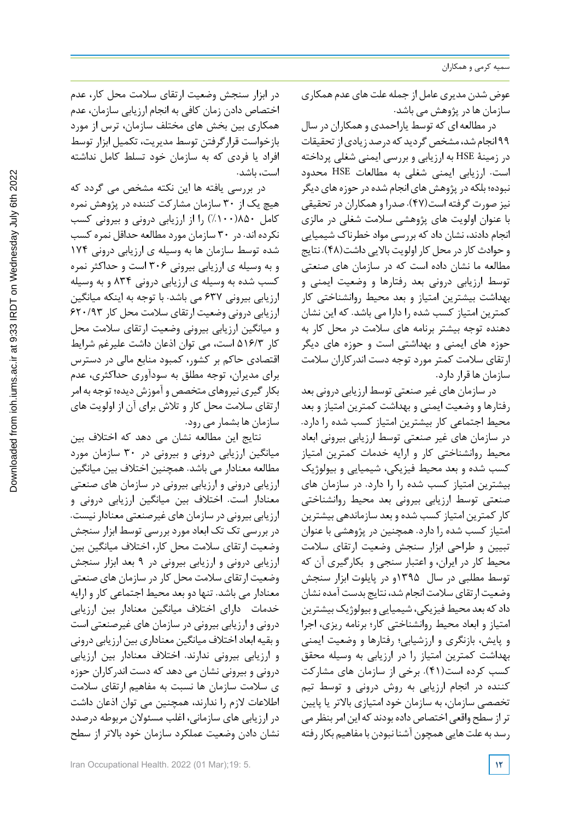عوض شدن مدیری عامل از جمله علت های عدم همکاری سازمان ها در پژوهش می باشد.

در مطالعه ای که توسطیاراحمدی وهمکاران در سال ۹۹ انجام شد، مشخص گردید که درصد زیادی از تحقیقات در زمینۀ HSE به ارزیابی و بررسی ایمنی شغلی پرداخته است. ارزیابی ایمنی شغلی به مطالعات HSE محدود نبوده؛ بلکه در پژوهش های انجام شده در حوزه های دیگر نیز صورت گرفته است(47). صدرا وهمکاران در تحقیقی با عنوان اولویت های پژوهشی سالمت شغلی در مالزی انجام دادند، نشان داد که بررسی مواد خطرناك شیمیایی و حوادث کار در محل کار اولویت بالایی داشت(۴۸). نتایج مطالعه ما نشان داده است که در سازمان های صنعتی توسط ارزیابی درونی بعد رفتارها و وضعیت ایمنی و بهداشت بیشترین امتیاز و بعد محیط روانشناختی کار کمترین امتیاز کسب شده را دارا می باشد. که این نشان دهنده توجه بیشتر برنامه های سالمت در محل کار به حوزه های ایمنی و بهداشتی است و حوزه های دیگر ارتقای سالمت کمتر مورد توجه دست اندرکاران سالمت سازمان ها قراردارد.

در سازمان های غیر صنعتی توسط ارزیابی درونی بعد رفتارها و وضعیت ایمنی و بهداشت کمترین امتیاز و بعد محیط اجتماعی کار بیشترین امتیاز کسب شده را دارد. در سازمان های غیر صنعتی توسط ارزیابی بیرونی ابعاد محیط روانشناختی کار و ارایه خدمات کمترین امتیاز کسب شده و بعد محیط فیزیکی، شیمیایی و بیولوژیک بیشترین امتیاز کسب شده را را دارد. در سازمان های صنعتی توسط ارزیابی بیرونی بعد محیط روانشناختی کار کمترین امتیاز کسب شده و بعد سازماندهی بیشترین امتیاز کسب شده را دارد. همچنین در پژوهشی با عنوان تبیین و طراحی ابزار سنجش وضعیت ارتقای سالمت محیط کار در ایران، و اعتبار سنجی و بکارگیری آن که توسط مطلبی در سال 1395و در پایلوت ابزار سنجش وضعیت ارتقای سلامت انجام شد، نتایج بدست آمده نشان داد که بعد محیط فیزیکی، شیمیایی و بیولوژیک بیشترین امتیاز و ابعاد محیط روانشناختی کار؛ برنامه ریزی، اجرا و پایش، بازنگری و ارزشیابی؛ رفتارها و وضعیت ایمنی بهداشت کمترین امتیاز را در ارزیابی به وسیله محقق کسب کرده است(41). برخی از سازمان های مشارکت کننده در انجام ارزیابی به روش درونی و توسط تیم تخصصی سازمان، به سازمان خود امتیازی باالتر یا پایین تر از سطح واقعی اختصاص داده بودند که این امر بنظر می رسد به علت هاییهمچون آشنا نبودن بامفاهیم بکاررفته

در ابزار سنجش وضعیت ارتقای سالمت محل کار، عدم اختصاص دادن زمان کافی به انجام ارزیابی سازمان، عدم همکاری بین بخش های مختلف سازمان، ترس از مورد بازخواست قرارگرفتن توسط مدیریت، تکمیل ابزار توسط افراد یا فردی که به سازمان خود تسلط کامل نداشته است، باشد.

در بررسی یافته ها این نکته مشخص می گردد که هیچ یک از 30 سازمان مشارکت کننده در پژوهش نمره کامل 850(%100) را از ارزیابی درونی و بیرونی کسب نکرده اند. در 30 سازمان موردمطالعه حداقل نمرهکسب شده توسط سازمان ها به وسیله ی ارزیابی درونی 174 و به وسیله ی ارزیابی بیرونی 306 است و حداکثر نمره کسب شده به وسیله ی ارزیابی درونی 834 و به وسیله ارزیابی بیرونی 637 می باشد. با توجه به اینکه میانگین ارزیابی درونی وضعیت ارتقای سالمت محل کار 620/93 و میانگین ارزیابی بیرونی وضعیت ارتقای سالمت محل کار 516/3 است، می توان اذعان داشت علیرغم شرایط اقتصادی حاکم بر کشور، کمبود منابع مالی در دسترس برای مدیران، توجه مطلق به سودآوری حداکثری، عدم بکارگیری نیروهای متخصص و آموزش دیده؛ توجه به امر ارتقای سالمت محل کار و تالش برای آن از اولویت های سازمان ها بشمار می رود.

نتایج این مطالعه نشان می دهد که اختالف بین میانگین ارزیابی درونی و بیرونی در 30 سازمان مورد مطالعه معنادار می باشد. همچنین اختالف بین میانگین ارزیابی درونی و ارزیابی بیرونی در سازمان های صنعتی معنادار است. اختالف بین میانگین ارزیابی درونی و ارزیابی بیرونی در سازمان های غیرصنعتی معنادار نیست. در بررسی تک تک ابعاد مورد بررسی توسط ابزار سنجش وضعیت ارتقای سالمت محل کار، اختالف میانگین بین ارزیابی درونی و ارزیابی بیرونی در 9 بعد ابزار سنجش وضعیت ارتقای سالمت محل کاردر سازمان های صنعتی معنادار می باشد. تنها دو بعد محیط اجتماعی کار و ارایه خدمات دارای اختالف میانگین معنادار بین ارزیابی درونی و ارزیابی بیرونی در سازمان های غیرصنعتی است و بقیه ابعاداختالف میانگین معناداری بین ارزیابی درونی و ارزیابی بیرونی ندارند. اختالف معنادار بین ارزیابی درونی و بیرونی نشان می دهد که دست اندرکاران حوزه ی سالمت سازمان ها نسبت به مفاهیم ارتقای سالمت اطالعات الزم را ندارند، همچنین می توان اذعان داشت در ارزیابی های سازمانی، اغلب مسئوالن مربوطه درصدد نشان دادن وضعیت عملکرد سازمان خود باالتر از سطح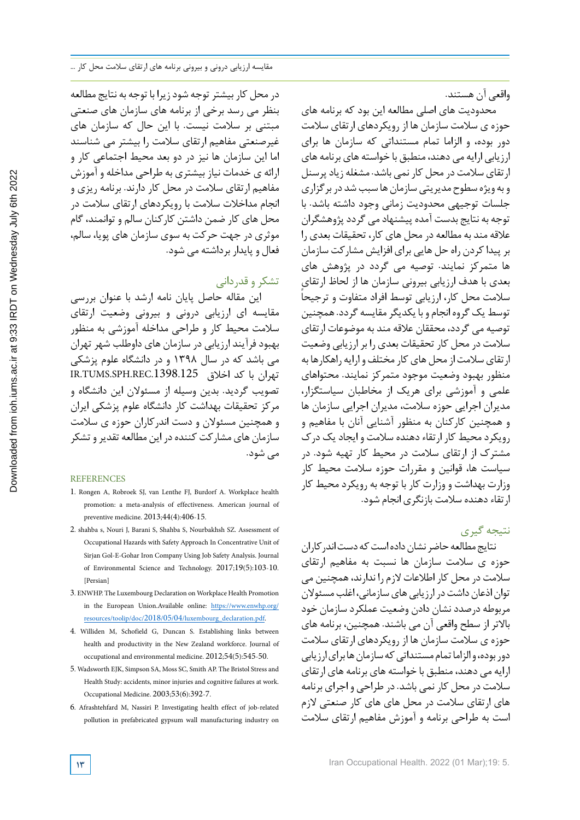واقعی آن هستند.

محدودیت های اصلی مطالعه این بود که برنامه های حوزه ی سالمت سازمان ها از رویکردهای ارتقای سالمت دور بوده، و الزاما تمام مستنداتی که سازمان ها برای ارزیابی ارایه می دهند، منطبق با خواسته های برنامه های ارتقای سالمت در محل کار نمی باشد. مشغله زیادپرسنل و به ویژه سطوح مدیریتی سازمان ها سبب شد در بر گزاری جلسات توجیهی محدودیت زمانی وجود داشته باشد. با توجه به نتایج بدست آمده پیشنهادمی گرددپژوهشگران عالقه مند به مطالعه در محل های کار، تحقیقات بعدی را برپیداکردن راه حل هایی برای افزایش مشارکت سازمان ها متمرکز نمایند. توصیه می گردد در پژوهش های بعدی با هدف ارزیابی بیرونی سازمان ها از لحاظ ارتقای سالمت محل کار، ارزیابی توسط افراد متفاوت و ترجیحا توسط یک گروه انجام و با یکدیگر مقایسه گردد. همچنین توصیه می گردد، محققان عالقه مند به موضوعات ارتقای سالمت در محل کار تحقیقات بعدی را برارزیابی وضعیت ار تقای سلامت از محل های کار مختلف و ارایه راهکارها به منظور بهبود وضعیت موجود متمرکز نمایند. محتواهای علمی و آموزشی برای هریک از مخاطبان سیاستگزار، مدیران اجرایی حوزه سالمت، مدیران اجرایی سازمان ها و همچنین کارکنان به منظور آشنایی آنان با مفاهیم و رویکردمحیط کار ارتقاءدهنده سالمت و ایجادیک درك مشترك از ارتقای سالمت در محیط کار تهیه شود. در سیاست ها، قوانین و مقررات حوزه سالمت محیط کار وزارت بهداشت و وزارت کار با توجه به رویکرد محیط کار ارتقاء دهنده سلامت بازنگری انجام شود.

نتیجه گیری

نتایج مطالعه حاضر نشان داده است که دست اندر کاران حوزه ی سالمت سازمان ها نسبت به مفاهیم ارتقای سالمت در محل کار اطالعات الزم را ندارند،همچنین می توان اذعان داشت در ارزیابی های سازمانی، اغلب مسئولان مربوطه درصدد نشان دادن وضعیت عملکرد سازمان خود باالتر از سطح واقعی آن می باشند. همچنین، برنامه های حوزه ی سالمت سازمان ها از رویکردهای ارتقای سالمت دور بوده، والزاما تمام مستنداتی که سازمان ها برای ارزیابی ارایه می دهند، منطبق با خواسته های برنامه های ارتقای سالمت در محل کار نمی باشد. در طراحی و اجرای برنامه های ارتقای سالمت در محل های های کار صنعتی الزم است به طراحی برنامه و آموزش مفاهیم ارتقای سالمت

در محل کار بیشترتوجه شودزیرا با توجه به نتایج مطالعه بنظر می رسد برخی از برنامه های سازمان های صنعتی مبتنی بر سالمت نیست. با این حال که سازمان های غیرصنعتی مفاهیم ارتقای سالمت را بیشتر می شناسند اما این سازمان ها نیز در دو بعد محیط اجتماعی کار و ارائه ی خدمات نیاز بیشتری به طراحی مداخله و آموزش مفاهیم ارتقای سالمت در محل کار دارند. برنامه ریزی و انجام مداخالت سالمت با رویکردهای ارتقای سالمت در محل های کار ضمن داشتن کارکنان سالم و توانمند، گام موثری در جهت حرکت به سوی سازمان های پویا، سالم، فعال و پایدار برداشته می شود.

# تشکرو قدردانی

این مقاله حاصل پایان نامه ارشد با عنوان بررسی مقایسه ای ارزیابی درونی و بیرونی وضعیت ارتقای سالمت محیط کار و طراحی مداخله آموزشی به منظور بهبود فرآیند ارزیابی در سازمان های داوطلب شهر تهران می باشد که در سال 1398 و در دانشگاه علوم پزشکی تهران با کد اخالق .1398.125REC.SPH.TUMS.IR تصویب گردید. بدین وسیله از مسئوالن این دانشگاه و مرکز تحقیقات بهداشت کار دانشگاه علوم پزشکی ایران و همچنین مسئوالن و دست اندرکاران حوزه ی سالمت سازمان های مشارکت کننده در این مطالعه تقدیر و تشکر می شود.

## REFERENCES

- 1. Rongen A, Robroek SJ, van Lenthe FJ, Burdorf A. Workplace health promotion: a meta-analysis of effectiveness. American journal of preventive medicine. 2013;44(4):406-15.
- 2. shahba s, Nouri J, Barani S, Shahba S, Nourbakhsh SZ. Assessment of Occupational Hazards with Safety Approach In Concentrative Unit of Sirjan Gol-E-Gohar Iron Company Using Job Safety Analysis. Journal of Environmental Science and Technology. 2017;19(5):103-10. [Persian]
- 3. ENWHP. The Luxembourg Declaration on Workplace Health Promotion in the European Union.Available online: https://www.enwhp.org/ resources/toolip/doc/2018/05/04/luxembourg\_declaration.pdf.
- 4. Williden M, Schofield G, Duncan S. Establishing links between health and productivity in the New Zealand workforce. Journal of occupational and environmental medicine. 2012;54(5):545-50.
- 5. Wadsworth EJK, Simpson SA, Moss SC, Smith AP. The Bristol Stress and Health Study: accidents, minor injuries and cognitive failures at work. Occupational Medicine. 2003;53(6):392-7.
- 6. Afrashtehfard M, Nassiri P. Investigating health effect of job-related pollution in prefabricated gypsum wall manufacturing industry on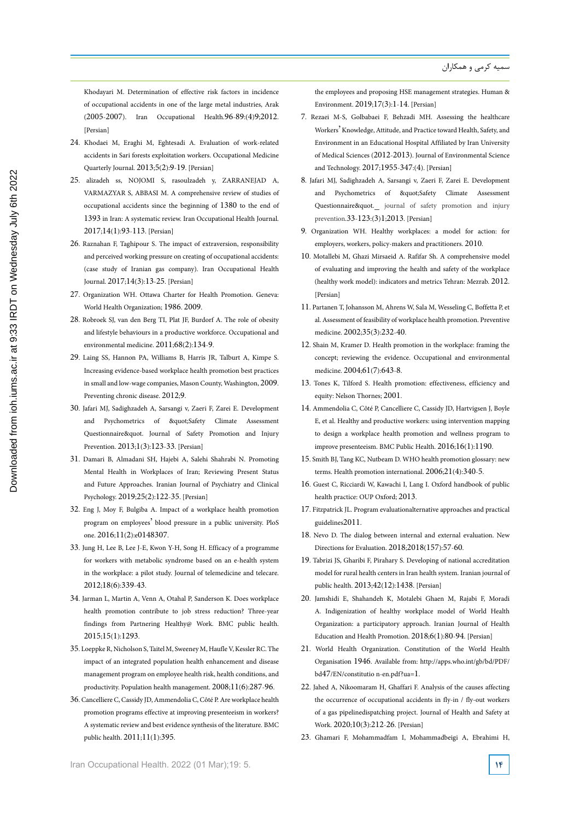Khodayari M. Determination of effective risk factors in incidence of occupational accidents in one of the large metal industries, Arak (2005-2007). Iran Occupational Health.96-89:(4)9;2012. [Persian]

- 24. Khodaei M, Eraghi M, Eghtesadi A. Evaluation of work-related accidents in Sari forests exploitation workers. Occupational Medicine Quarterly Journal. 2013;5(2):9-19. [Persian]
- 25. alizadeh ss, NOJOMI S, rasoulzadeh y, ZARRANEJAD A, VARMAZYAR S, ABBASI M. A comprehensive review of studies of occupational accidents since the beginning of 1380 to the end of 1393 in Iran: A systematic review. Iran Occupational Health Journal. 2017;14(1):93-113. [Persian]
- 26. Raznahan F, Taghipour S. The impact of extraversion, responsibility and perceived working pressure on creating of occupational accidents: (case study of Iranian gas company). Iran Occupational Health Journal. 2017;14(3):13-25. [Persian]
- 27. Organization WH. Ottawa Charter for Health Promotion. Geneva: World Health Organization; 1986. 2009.
- 28. Robroek SJ, van den Berg TI, Plat JF, Burdorf A. The role of obesity and lifestyle behaviours in a productive workforce. Occupational and environmental medicine. 2011;68(2):134-9.
- 29. Laing SS, Hannon PA, Williams B, Harris JR, Talburt A, Kimpe S. Increasing evidence-based workplace health promotion best practices in small and low-wage companies, Mason County, Washington, 2009. Preventing chronic disease. 2012;9.
- 30. Jafari MJ, Sadighzadeh A, Sarsangi v, Zaeri F, Zarei E. Development and Psychometrics of "Safety Climate Assessment Questionnaire&quot. Journal of Safety Promotion and Injury Prevention. 2013;1(3):123-33. [Persian]
- 31. Damari B, Almadani SH, Hajebi A, Salehi Shahrabi N. Promoting Mental Health in Workplaces of Iran; Reviewing Present Status and Future Approaches. Iranian Journal of Psychiatry and Clinical Psychology. 2019;25(2):122-35. [Persian]
- 32. Eng J, Moy F, Bulgiba A. Impact of a workplace health promotion program on employees' blood pressure in a public university. PloS one. 2016;11(2):e0148307.
- 33. Jung H, Lee B, Lee J-E, Kwon Y-H, Song H. Efficacy of a programme for workers with metabolic syndrome based on an e-health system in the workplace: a pilot study. Journal of telemedicine and telecare. 2012;18(6):339-43.
- 34. Jarman L, Martin A, Venn A, Otahal P, Sanderson K. Does workplace health promotion contribute to job stress reduction? Three-year findings from Partnering Healthy@ Work. BMC public health. 2015;15(1):1293.
- 35. LoeppkeR, Nicholson S, Taitel M, Sweeney M, Haufle V, KesslerRC. The impact of an integrated population health enhancement and disease management program on employee health risk, health conditions, and productivity. Population health management. 2008;11(6):287-96.
- 36. Cancelliere C, Cassidy JD, Ammendolia C, Côté P. Areworkplace health promotion programs effective at improving presenteeism in workers? A systematic review and best evidence synthesis of the literature. BMC public health. 2011;11(1):395.

the employees and proposing HSE management strategies. Human & Environment. 2019;17(3):1-14. [Persian]

- 7. Rezaei M-S, Golbabaei F, Behzadi MH. Assessing the healthcare Workers' Knowledge, Attitude, and Practice toward Health, Safety, and Environment in an Educational Hospital Affiliated by Iran University of Medical Sciences (2012-2013). Journal of Environmental Science and Technology. 2017;1955-347:(4). [Persian]
- 8. Jafari MJ, Sadighzadeh A, Sarsangi v, Zaeri F, Zarei E. Development and Psychometrics of "Safety Climate Assessment Questionnaire&quot.\_\_ journal of safety promotion and injury prevention.33-123:(3)1;2013. [Persian]
- 9. Organization WH. Healthy workplaces: a model for action: for employers, workers, policy-makers and practitioners. 2010.
- 10. Motallebi M, Ghazi Mirsaeid A. Rafifar Sh. A comprehensive model of evaluating and improving the health and safety of the workplace (healthy work model): indicators and metrics Tehran: Mezrab. 2012. [Persian]
- 11. Partanen T, Johansson M, Ahrens W, Sala M, Wesseling C, Boffetta P, et al. Assessment of feasibility of workplace health promotion. Preventive medicine. 2002;35(3):232-40.
- 12. Shain M, Kramer D. Health promotion in the workplace: framing the concept; reviewing the evidence. Occupational and environmental medicine. 2004;61(7):643-8.
- 13. Tones K, Tilford S. Health promotion: effectiveness, efficiency and equity: Nelson Thornes; 2001.
- 14. Ammendolia C, Côté P, Cancelliere C, Cassidy JD, Hartvigsen J, Boyle E, et al. Healthy and productive workers: using intervention mapping to design a workplace health promotion and wellness program to improve presenteeism. BMC Public Health. 2016;16(1):1190.
- 15. Smith BJ, Tang KC, Nutbeam D. WHO health promotion glossary: new terms. Health promotion international. 2006;21(4):340-5.
- 16. Guest C, Ricciardi W, Kawachi I, Lang I. Oxford handbook of public health practice: OUP Oxford; 2013.
- 17. Fitzpatrick JL. Program evaluationalternative approaches and practical guidelines2011.
- 18. Nevo D. The dialog between internal and external evaluation. New Directions for Evaluation. 2018;2018(157):57-60.
- 19. Tabrizi JS, Gharibi F, Pirahary S. Developing of national accreditation model for rural health centers in Iran health system. Iranian journal of public health. 2013;42(12):1438. [Persian]
- 20. Jamshidi E, Shahandeh K, Motalebi Ghaen M, Rajabi F, Moradi A. Indigenization of healthy workplace model of World Health Organization: a participatory approach. Iranian Journal of Health Education and Health Promotion. 2018;6(1):80-94. [Persian]
- 21. World Health Organization. Constitution of the World Health Organisation 1946. Available from: http://apps.who.int/gb/bd/PDF/ bd47/EN/constitutio n-en.pdf?ua=1.
- 22. Jahed A, Nikoomaram H, Ghaffari F. Analysis of the causes affecting the occurrence of occupational accidents in fly-in / fly-out workers of a gas pipelinedispatching project. Journal of Health and Safety at Work. 2020;10(3):212-26. [Persian]
- 23. Ghamari F, Mohammadfam I, Mohammadbeigi A, Ebrahimi H,